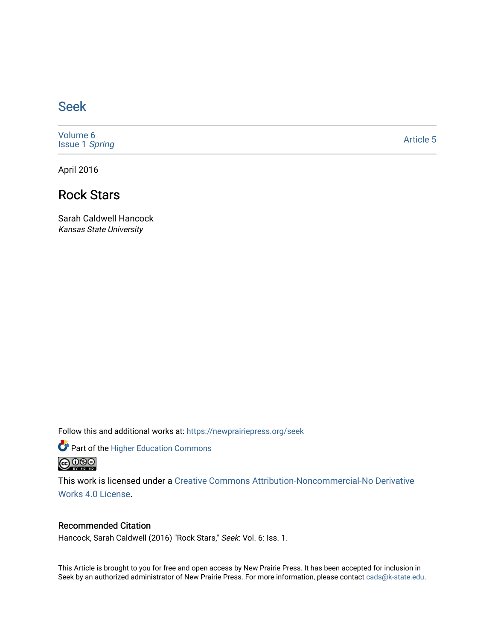## [Seek](https://newprairiepress.org/seek)

[Volume 6](https://newprairiepress.org/seek/vol6) [Issue 1](https://newprairiepress.org/seek/vol6/iss1) Spring

[Article 5](https://newprairiepress.org/seek/vol6/iss1/5) 

April 2016

## Rock Stars

Sarah Caldwell Hancock Kansas State University

Follow this and additional works at: [https://newprairiepress.org/seek](https://newprairiepress.org/seek?utm_source=newprairiepress.org%2Fseek%2Fvol6%2Fiss1%2F5&utm_medium=PDF&utm_campaign=PDFCoverPages)

Part of the [Higher Education Commons](http://network.bepress.com/hgg/discipline/1245?utm_source=newprairiepress.org%2Fseek%2Fvol6%2Fiss1%2F5&utm_medium=PDF&utm_campaign=PDFCoverPages) 



This work is licensed under a [Creative Commons Attribution-Noncommercial-No Derivative](https://creativecommons.org/licenses/by-nc-nd/4.0/)  [Works 4.0 License](https://creativecommons.org/licenses/by-nc-nd/4.0/).

### Recommended Citation

Hancock, Sarah Caldwell (2016) "Rock Stars," Seek: Vol. 6: Iss. 1.

This Article is brought to you for free and open access by New Prairie Press. It has been accepted for inclusion in Seek by an authorized administrator of New Prairie Press. For more information, please contact [cads@k-state.edu](mailto:cads@k-state.edu).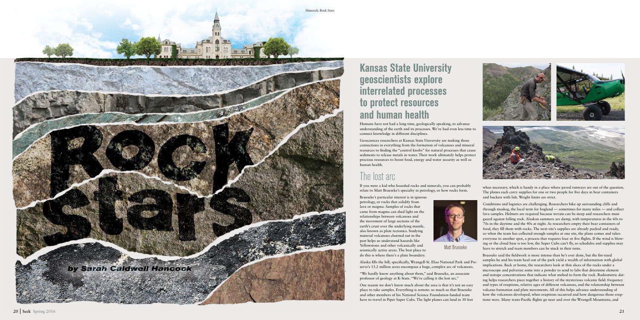# Kansas State University geoscientists explore interrelated processes to protect resources and human health

Humans have not had a long time, geologically speaking, to advance understanding of the earth and its processes. We've had even less time to connect knowledge in different disciplines.

Geosciences researchers at Kansas State University are making those connections in everything from the formation of volcanoes and mineral resources to finding the "control knobs" for natural processes that cause sediments to release metals in water. Their work ultimately helps protect precious resources to boost food, energy and water security as well as

human health.

# The lost arc

If you were a kid who hoarded rocks and minerals, you can probably relate to Matt Brueseke's specialty in petrology, or how rocks form.

Brueseke's particular interest is in igneous petrology, or rocks that solidify from lava or magma. Samples of rocks that came from magma can shed light on the relationships between volcanoes and the movement of large sections of the earth's crust over the underlying mantle, also known as plate tectonics. Studying material volcanoes churned out in the past helps us understand hazards like Yellowstone and other volcanically and seismically active areas. The best place to do this is where there's a plate boundary.

One reason we don't know much about the area is that it's not an easy place to take samples. Everything is remote: so much so that Brueseke and other members of his National Science Foundation-funded team have to travel in Piper Super Cubs. The light planes can land in 30 feet when necessary, which is handy in a place where paved runways are out of the question. The planes each carry supplies for one or two people for five days in bear containers and buckets with lids. Weight limits are strict.

Conditions and logistics are challenging. Researchers hike up surrounding cliffs and through muskeg, the local term for bogland — sometimes for many miles — and collect lava samples. Helmets are required because terrain can be steep and researchers must guard against falling rock. Alaskan summers are damp, with temperatures in the 60s to 70s in the daytime and the 40s at night. As researchers empty their bear containers of food, they fill them with rocks. The next site's supplies are already packed and ready, so when the team has collected enough samples at one site, the plane comes and takes everyone to another spot, a process that requires four or five flights. If the wind is blow ing or the cloud base is too low, the Super Cubs can't fly, so schedules and supplies may have to stretch and team members can be stuck in their tents.

Alaska fills the bill; specifically, Wrangell-St. Elias National Park and Pre serve's 13.2 million acres encompass a huge, complex arc of volcanoes. "We hardly know anything about them," said Brueseke, an associate professor of geology at K-State. "We're calling it the lost arc." Brueseke said the fieldwork is more intense than he's ever done, but the fist-sized samples he and his team haul out of the park yield a wealth of information with global implications. Back at home, the researchers look at thin slices of the rocks under a microscope and pulverize some into a powder to send to labs that determine element and isotope concentrations that indicate what melted to form the rock. Radiometric dat ing helps researchers piece together a history of the mysterious volcanic field: frequency and types of eruptions, relative ages of different volcanoes, and the relationship between volcano formation and plate movements. All of this helps advance understanding of how the volcanoes developed, when eruptions occurred and how dangerous those erup tions were. Many trans-Pacific flights go near and over the Wrangell Mountains, and



Matt Brueseke